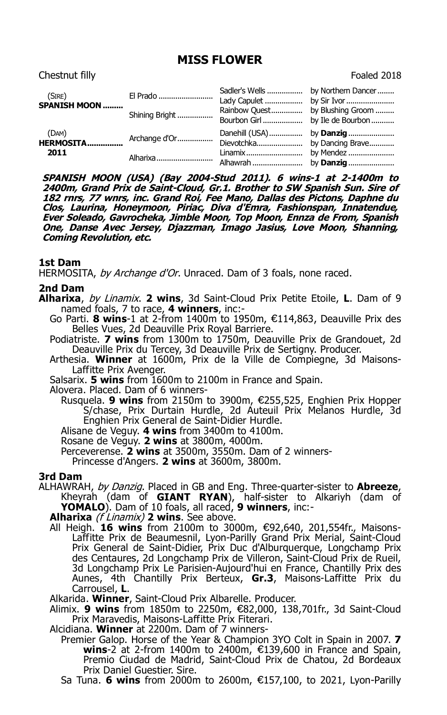# **MISS FLOWER**

| Chestnut filly                 |                |                                                  | Foaled 2018        |
|--------------------------------|----------------|--------------------------------------------------|--------------------|
| (SIRE)<br><b>SPANISH MOON </b> | El Prado       | Sadler's Wells                                   | by Northern Dancer |
|                                | Shining Bright | Rainbow Quest<br>Bourbon Girl  by Ile de Bourbon | by Blushing Groom  |
| (DAM)<br>HERMOSITA<br>2011     | Archange d'Or  | Dievotchka                                       | by Dancing Brave   |
|                                | Alharixa       | Linamix                                          | by Mendez          |

**SPANISH MOON (USA) (Bay 2004-Stud 2011). 6 wins-1 at 2-1400m to 2400m, Grand Prix de Saint-Cloud, Gr.1. Brother to SW Spanish Sun. Sire of 182 rnrs, 77 wnrs, inc. Grand Roi, Fee Mano, Dallas des Pictons, Daphne du Clos, Laurina, Honeymoon, Piriac, Diva d'Emra, Fashionspan, Innatendue, Ever Soleado, Gavrocheka, Jimble Moon, Top Moon, Ennza de From, Spanish One, Danse Avec Jersey, Djazzman, Imago Jasius, Love Moon, Shanning, Coming Revolution, etc.**

## **1st Dam**

HERMOSITA, by Archange d'Or. Unraced. Dam of 3 foals, none raced.

## **2nd Dam**

**Alharixa**, by Linamix. **2 wins**, 3d Saint-Cloud Prix Petite Etoile, **L**. Dam of 9 named foals, 7 to race, **4 winners**, inc:-

Go Parti. **8 wins**-1 at 2-from 1400m to 1950m, €114,863, Deauville Prix des Belles Vues, 2d Deauville Prix Royal Barriere.

Podiatriste. **7 wins** from 1300m to 1750m, Deauville Prix de Grandouet, 2d Deauville Prix du Tercey, 3d Deauville Prix de Sertigny. Producer.

Arthesia. **Winner** at 1600m, Prix de la Ville de Compiegne, 3d Maisons-Laffitte Prix Avenger.

Salsarix. **5 wins** from 1600m to 2100m in France and Spain.

Alovera. Placed. Dam of 6 winners-

Rusquela. **9 wins** from 2150m to 3900m, €255,525, Enghien Prix Hopper S/chase, Prix Durtain Hurdle, 2d Auteuil Prix Melanos Hurdle, 3d Enghien Prix General de Saint-Didier Hurdle.

Alisane de Veguy. **4 wins** from 3400m to 4100m.

Rosane de Veguy. **2 wins** at 3800m, 4000m.

Perceverense. **2 wins** at 3500m, 3550m. Dam of 2 winners-

Princesse d'Angers. **2 wins** at 3600m, 3800m.

### **3rd Dam**

ALHAWRAH, by Danzig. Placed in GB and Eng. Three-quarter-sister to **Abreeze**, Kheyrah (dam of **GIANT RYAN**), half-sister to Alkariyh (dam of **YOMALO**). Dam of 10 foals, all raced, **9 winners**, inc:-

**Alharixa** (f Linamix) **2 wins**. See above.

All Heigh. **16 wins** from 2100m to 3000m, €92,640, 201,554fr., Maisons-Laffitte Prix de Beaumesnil, Lyon-Parilly Grand Prix Merial, Saint-Cloud Prix General de Saint-Didier, Prix Duc d'Alburquerque, Longchamp Prix des Centaures, 2d Longchamp Prix de Villeron, Saint-Cloud Prix de Rueil, 3d Longchamp Prix Le Parisien-Aujourd'hui en France, Chantilly Prix des Aunes, 4th Chantilly Prix Berteux, Gr.3, Maisons-Laffitte Prix du Carrousel, **L**.

Alkarida. **Winner**, Saint-Cloud Prix Albarelle. Producer.

Alimix. 9 wins from 1850m to 2250m, €82,000, 138,701fr., 3d Saint-Cloud Prix Maravedis, Maisons-Laffitte Prix Fiterari.

Alcidiana. **Winner** at 2200m. Dam of 7 winners-

Premier Galop. Horse of the Year & Champion 3YO Colt in Spain in 2007. **7 wins**-2 at 2-from 1400m to 2400m, €139,600 in France and Spain, Premio Ciudad de Madrid, Saint-Cloud Prix de Chatou, 2d Bordeaux Prix Daniel Guestier. Sire.

Sa Tuna. **6 wins** from 2000m to 2600m, €157,100, to 2021, Lyon-Parilly